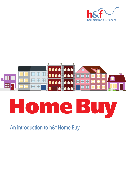



# ome Bu

An introduction to h&f Home Buy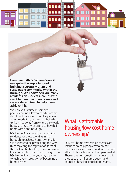**Hammersmith & Fulham Council recognise the importance of building a strong, vibrant and sustainable community within the borough. We know there are many residents on modest incomes who want to own their own homes and we are determined to help them achieve this.** 

We believe first time buyers and people earning a low to middle income should not be forced to rent expensive accommodation, or have no choice but to live miles away from where they work, because they cannot afford to buy their home within this borough.

h&f Home Buy is here to assist eligible residents, or those working in the borough, to achieve home ownership. We are here to help you along the way. By completing the registration form at the back of this booklet, or visiting us on line at www.lbhf.gov.uk and going to the h&f Home Buy page, you may be able to realise your aspiration of becoming a home owner.

## What is affordable housing/low cost home ownership?

Low cost home ownership schemes are intended to help people who do not qualify for social housing and who cannot afford to buy a home on the open market. These schemes sometimes target specific groups such as first time buyers and council or housing association tenants.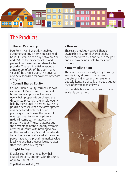

# The Products

## **• Shared Ownership**

Part Rent - Part Buy option enables customers to buy a home on leasehold basis. Customers can buy between 25% and 75% of the property value, and pay rent on the remaining share to the provider. The rent is initially capped at a maximum of 3% of the open market value of the unsold share. The buyer will also be responsible for payment of service charges.

## **• Council Shared Equity**

Council Shared Equity, formerly known as Discount Market Sale is a low cost home ownership product where a newly built property is purchased at a discounted price with the unsold equity held by the Council in perpetuity. This is possible because when the development was negotiated with the Council in its planning authority role, the discount was stipulated to try to help low and middle income earners access the property ladder. The purchaser(s) buy the percentage of the property available after the discount with nothing to pay on the unsold equity. Should they decide to sell the property, it is sold at the same percentage at the prevailing market value, ideally to another prospective purchaser from the Home Buy register.

## **• Right To Buy**

Enables council tenants to buy their council property outright with discounts of up to £103,900\*.

\*uplifted annually by CPI.

## **• Resales**

These are previously owned Shared Ownership or Council Shared Equity homes that were built and sold in the past and are now being resold by their current owners.

### **• Intermediate Rent**

These are homes, typically let by housing associations, at below market rent, thereby enabling tenants to save for a deposit. Rents are usually charged at up to 80% of private market levels.

Further details about these products are available on request.

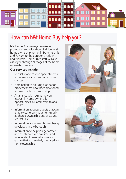

# How can h&f Home Buy help you?

h&f Home Buy manages marketing promotion and allocation of all low cost home ownership homes in Hammersmith and Fulham to the borough's resident and workers. Home Buy's staff will also assist you through all stages of the home ownership process.

## **Our services include:**

- Specialist one-to-one appointments to discuss your housing options and choices
- Nomination to housing association properties that have been developed for low cost home ownership.
- Assistance with registering your interest in home ownership opportunities in Hammersmith and Fulham.
- Information about products that can enable you to own your home such as Shared Ownership and Discount Market Sale.
- Information about new homes being developed in the borough.
- Information to help you get advice and assistance from solicitors and independent financial advisers to ensure that you are fully prepared for home ownership

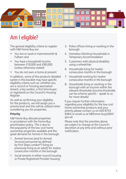

# Am I eligible?

The general eligibility criteria to register with h&f Home Buy are:

- You live or work in Hammersmith & Fulham and
- You have a household income between £19,000 and £90,000 (unless otherwise stated)
- You do not own a home at present

In addition, some of the products detailed earlier in this booklet may have specific eligibility criteria such as: whether you are a council or housing association tenant; a key worker; a first time buyer; or registered on the Council's Housing Register.

As well as confirming your eligibility for the products, we will assign you a priority level and this will be utilised when considering you for properties.

## **Priority**

h&f Home Buy allocate properties in accordance with the Home Buy prioritisation policy. This is due to the popularity of the low cost home ownership properties available and the great demand for homes in the borough.

- 1. Armed Services (and Ex Armed Services) personnel (as defined by First Steps London\*) living (or previously living as an adult) for twelve consecutive months in the borough
- 1. Social tenants in either council housing or Private Registered Provider housing.
- 3. Police officers living or working in the borough
- 4. Homeless Working Households in Temporary Accommodation
- 5. Customers with physical disability using a wheelchair
- 6. Households living for twelve consecutive months in the borough
- 7. Household working for twelve consecutive months in the borough
- 8. Households living or working in the borough with an income within the relevant thresholds (income thresholds can be scheme specific – speak to us for more details)

If you require further information regarding your eligibility for the low cost home ownership products and your priority please contact us on 020 8753 6464 or email us at [h&fhome-buy@lbhf.](mailto:h&fhome-buy@lbhf.gov.uk) [gov.uk](mailto:h&fhome-buy@lbhf.gov.uk)

Please note that the priorities above are subject to change at the Council's discretion at any time and without prior notification.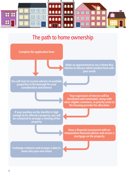

## The path to home ownership

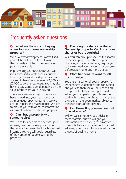

# Frequently asked questions

### Q **What are the costs of buying a new low cost home ownership property?**

When a new development is advertised you will be notified of the full value of the property and the minimum share purchase available.

In purchasing your new home you will incur some initial costs such as: survey fees; legal fees and the deposit. You are advised to have/save between £4,000 and £5,000 to cover these costs. You may also have to pay stamp duty depending on the value of the share you are buying.

There are also on-going costs once you have moved into your new home such as: mortgage repayments; rent; service charge; repairs and maintenance. We aim to provide you with as much information as possible when we advertise properties.

## Q **Can I buy a property with someone else?**

Yes. Up to four people can become joint owners, provided one applicant meets the criteria. However, the total household income threshold will apply regardless of the number of people buying the property.

### Q **I've bought a share in a Shared Ownership property. Can I buy more shares or buy it outright?**

Yes. You can buy up to 75% of the shared ownership property in the first year. However, some schemes may require you to have owned your property for one year before applying to buy more shares.

## Q **What happens if I want to sell my property?**

You are entitled to sell your property. An independent valuation will be conducted and you can then use our service to find a buyer, potentially reducing the cost of selling your property. If your home is not sold within three months you may sell the property on the open market subject to the restrictions of the scheme.

## Q **Can Home Buy give me financial or legal advice?**

By law, we cannot give you advice on these matters, but we will give you information to help you get this advice from solicitors and independent financial advisers, so you are fully prepared for the process of buying a home.